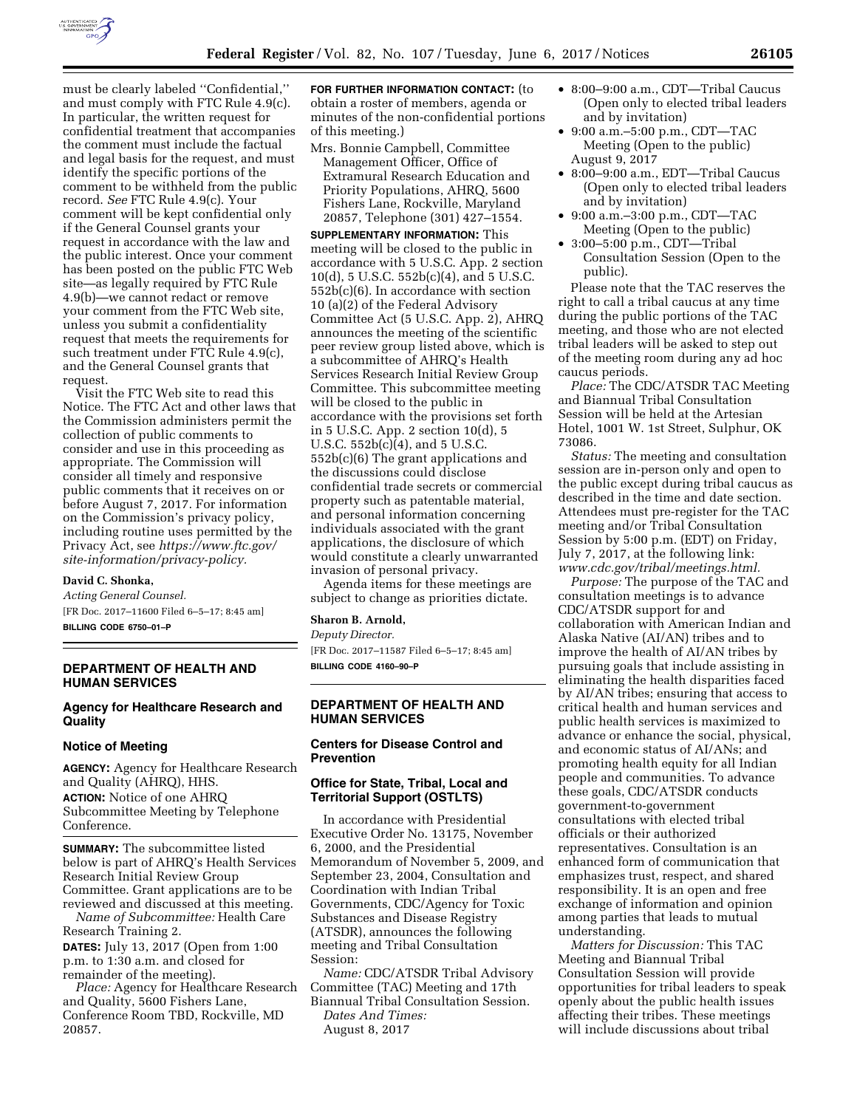

must be clearly labeled ''Confidential,'' and must comply with FTC Rule 4.9(c). In particular, the written request for confidential treatment that accompanies the comment must include the factual and legal basis for the request, and must identify the specific portions of the comment to be withheld from the public record. *See* FTC Rule 4.9(c). Your comment will be kept confidential only if the General Counsel grants your request in accordance with the law and the public interest. Once your comment has been posted on the public FTC Web site—as legally required by FTC Rule 4.9(b)—we cannot redact or remove your comment from the FTC Web site, unless you submit a confidentiality request that meets the requirements for such treatment under FTC Rule 4.9(c), and the General Counsel grants that request.

Visit the FTC Web site to read this Notice. The FTC Act and other laws that the Commission administers permit the collection of public comments to consider and use in this proceeding as appropriate. The Commission will consider all timely and responsive public comments that it receives on or before August 7, 2017. For information on the Commission's privacy policy, including routine uses permitted by the Privacy Act, see *[https://www.ftc.gov/](https://www.ftc.gov/site-information/privacy-policy)  [site-information/privacy-policy.](https://www.ftc.gov/site-information/privacy-policy)* 

# **David C. Shonka,**

*Acting General Counsel.*  [FR Doc. 2017–11600 Filed 6–5–17; 8:45 am] **BILLING CODE 6750–01–P** 

# **DEPARTMENT OF HEALTH AND HUMAN SERVICES**

# **Agency for Healthcare Research and Quality**

#### **Notice of Meeting**

**AGENCY:** Agency for Healthcare Research and Quality (AHRQ), HHS. **ACTION:** Notice of one AHRQ Subcommittee Meeting by Telephone Conference.

**SUMMARY:** The subcommittee listed below is part of AHRQ's Health Services Research Initial Review Group Committee. Grant applications are to be reviewed and discussed at this meeting.

*Name of Subcommittee:* Health Care Research Training 2.

**DATES:** July 13, 2017 (Open from 1:00 p.m. to 1:30 a.m. and closed for remainder of the meeting).

*Place:* Agency for Healthcare Research and Quality, 5600 Fishers Lane, Conference Room TBD, Rockville, MD 20857.

**FOR FURTHER INFORMATION CONTACT:** (to obtain a roster of members, agenda or minutes of the non-confidential portions of this meeting.)

Mrs. Bonnie Campbell, Committee Management Officer, Office of Extramural Research Education and Priority Populations, AHRQ, 5600 Fishers Lane, Rockville, Maryland 20857, Telephone (301) 427–1554.

**SUPPLEMENTARY INFORMATION:** This meeting will be closed to the public in accordance with 5 U.S.C. App. 2 section 10(d), 5 U.S.C. 552b(c)(4), and 5 U.S.C. 552b(c)(6). In accordance with section 10 (a)(2) of the Federal Advisory Committee Act (5 U.S.C. App. 2), AHRQ announces the meeting of the scientific peer review group listed above, which is a subcommittee of AHRQ's Health Services Research Initial Review Group Committee. This subcommittee meeting will be closed to the public in accordance with the provisions set forth in 5 U.S.C. App. 2 section 10(d), 5 U.S.C. 552b(c)(4), and 5 U.S.C. 552b(c)(6) The grant applications and the discussions could disclose confidential trade secrets or commercial property such as patentable material, and personal information concerning individuals associated with the grant applications, the disclosure of which would constitute a clearly unwarranted invasion of personal privacy.

Agenda items for these meetings are subject to change as priorities dictate.

#### **Sharon B. Arnold,**

*Deputy Director.* 

[FR Doc. 2017–11587 Filed 6–5–17; 8:45 am] **BILLING CODE 4160–90–P** 

### **DEPARTMENT OF HEALTH AND HUMAN SERVICES**

# **Centers for Disease Control and Prevention**

# **Office for State, Tribal, Local and Territorial Support (OSTLTS)**

In accordance with Presidential Executive Order No. 13175, November 6, 2000, and the Presidential Memorandum of November 5, 2009, and September 23, 2004, Consultation and Coordination with Indian Tribal Governments, CDC/Agency for Toxic Substances and Disease Registry (ATSDR), announces the following meeting and Tribal Consultation Session:

*Name:* CDC/ATSDR Tribal Advisory Committee (TAC) Meeting and 17th Biannual Tribal Consultation Session.

*Dates And Times:*  August 8, 2017

- 8:00–9:00 a.m., CDT—Tribal Caucus (Open only to elected tribal leaders and by invitation)
- 9:00 a.m.–5:00 p.m., CDT—TAC Meeting (Open to the public) August 9, 2017
- 8:00–9:00 a.m., EDT—Tribal Caucus (Open only to elected tribal leaders and by invitation)
- 9:00 a.m.–3:00 p.m., CDT—TAC Meeting (Open to the public)
- 3:00–5:00 p.m., CDT—Tribal Consultation Session (Open to the public).

Please note that the TAC reserves the right to call a tribal caucus at any time during the public portions of the TAC meeting, and those who are not elected tribal leaders will be asked to step out of the meeting room during any ad hoc caucus periods.

*Place:* The CDC/ATSDR TAC Meeting and Biannual Tribal Consultation Session will be held at the Artesian Hotel, 1001 W. 1st Street, Sulphur, OK 73086.

*Status:* The meeting and consultation session are in-person only and open to the public except during tribal caucus as described in the time and date section. Attendees must pre-register for the TAC meeting and/or Tribal Consultation Session by 5:00 p.m. (EDT) on Friday, July 7, 2017, at the following link: *[www.cdc.gov/tribal/meetings.html.](http://www.cdc.gov/tribal/meetings.html)* 

*Purpose:* The purpose of the TAC and consultation meetings is to advance CDC/ATSDR support for and collaboration with American Indian and Alaska Native (AI/AN) tribes and to improve the health of AI/AN tribes by pursuing goals that include assisting in eliminating the health disparities faced by AI/AN tribes; ensuring that access to critical health and human services and public health services is maximized to advance or enhance the social, physical, and economic status of AI/ANs; and promoting health equity for all Indian people and communities. To advance these goals, CDC/ATSDR conducts government-to-government consultations with elected tribal officials or their authorized representatives. Consultation is an enhanced form of communication that emphasizes trust, respect, and shared responsibility. It is an open and free exchange of information and opinion among parties that leads to mutual understanding.

*Matters for Discussion:* This TAC Meeting and Biannual Tribal Consultation Session will provide opportunities for tribal leaders to speak openly about the public health issues affecting their tribes. These meetings will include discussions about tribal